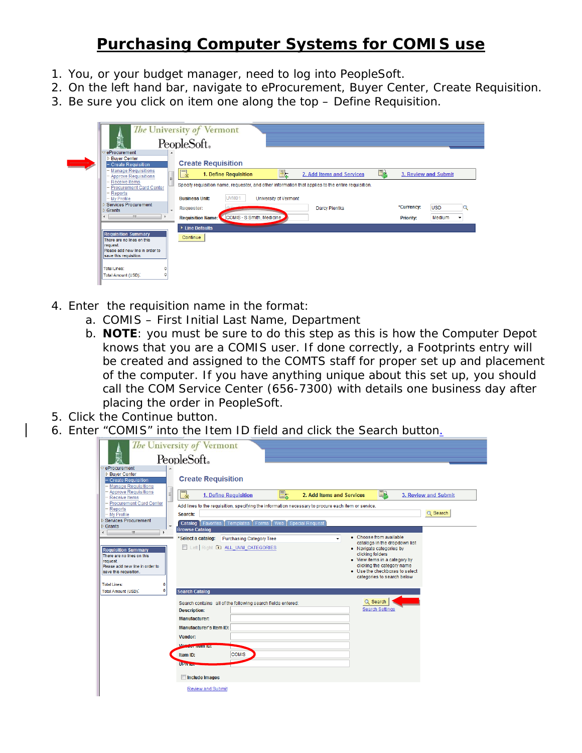## **Purchasing Computer Systems for COMIS use**

- 1. You, or your budget manager, need to log into PeopleSoft.
- 2. On the left hand bar, navigate to eProcurement, Buyer Center, Create Requisition.
- 3. Be sure you click on item one along the top Define Requisition.

| 熏                                                                                                                                                                          | The University of Vermont<br>PeopleSoft.                                                                                                                                                                        |                                                                                    |
|----------------------------------------------------------------------------------------------------------------------------------------------------------------------------|-----------------------------------------------------------------------------------------------------------------------------------------------------------------------------------------------------------------|------------------------------------------------------------------------------------|
| eProcurement<br><b>D</b> Buyer Center<br>- Create Requisition<br><b>Manage Requisitions</b><br>- Approve Requisitions<br>Ξ<br>- Receive Items<br>- Procurement Card Center | <b>Create Requisition</b><br>国人<br>$=$<br>Et.<br>1. Define Requisition<br>2. Add Items and Services<br>-※<br>Specify requisition name, requester, and other information that applies to the entire requisition. | 3. Review and Submit                                                               |
| – Reports<br>- My Profile<br><b>D</b> Services Procurement<br>$\overline{\phantom{a}}$<br>$\triangleright$ Grants<br>m.<br>∢                                               | UVM <sub>01</sub><br><b>Business Unit:</b><br><b>University of Vermont</b><br>Darcy Pientka<br><b>Requester:</b><br>COMIS - S Smith, Medicine<br><b>Requisition Name:</b>                                       | *Currency:<br><b>USD</b><br>Medium<br><b>Priority:</b><br>$\overline{\phantom{a}}$ |
| <b>Requisition Summary</b><br>There are no lines on this<br>request.<br>Please add new line in order to<br>save this requisition.                                          | ▶ Line Defaults<br>Continue                                                                                                                                                                                     |                                                                                    |
| <b>Total Lines:</b><br>Total Amount (USD).                                                                                                                                 |                                                                                                                                                                                                                 |                                                                                    |

- 4. Enter the requisition name in the format:
	- a. COMIS First Initial Last Name, Department
	- b. **NOTE**: you must be sure to do this step as this is how the Computer Depot knows that you are a COMIS user. If done correctly, a Footprints entry will be created and assigned to the COMTS staff for proper set up and placement of the computer. If you have anything unique about this set up, you should call the COM Service Center (656-7300) with details one business day after placing the order in PeopleSoft.
- 5. Click the Continue button.
- 6. Enter "COMIS" into the Item ID field and click the Search button.

|                                                                             | The University of Vermont                                                                                         |
|-----------------------------------------------------------------------------|-------------------------------------------------------------------------------------------------------------------|
| 臝                                                                           | PeopleSoft.                                                                                                       |
| eProcurement                                                                |                                                                                                                   |
| <b>D</b> Buyer Center<br>- Create Requisition<br><b>Manage Requisitions</b> | <b>Create Requisition</b>                                                                                         |
| - Approve Requisitions<br>$\equiv$<br>- Receive Items                       | 虽<br>E <del>L</del><br>2. Add Items and Services<br>3. Review and Submit<br>1. Define Requisition<br>$\mathbb{L}$ |
| - Procurement Card Center                                                   | Add lines to the requisition, specifying the information necessary to procure each item or service.               |
| $-$ Reports<br>$-$ My Profile                                               | Q Search<br>Search:                                                                                               |
| <b>Services Procurement</b>                                                 | <b>Catalog</b>   Favorites   Templates   Forms   Web   Special Request                                            |
| $\triangleright$ Grants<br>$\overline{ }$<br>$\mathbf{m}$                   | <b>Browse Catalog</b>                                                                                             |
|                                                                             | • Choose from available<br>'Select a catalog:<br><b>Purchasing Category Tree</b><br>catalogs in the dropdown list |
| <b>Requisition Summary</b>                                                  | Left Right <b>ED ALL_UVM_CATEGORIES</b><br>• Navigate categories by                                               |
| There are no lines on this                                                  | clicking folders<br>• View items in a category by                                                                 |
| request.<br>Please add new line in order to                                 | clicking the category name                                                                                        |
| save this requisition.                                                      | • Use the checkboxes to select                                                                                    |
|                                                                             | categories to search below                                                                                        |
| Total Lines:<br>0                                                           |                                                                                                                   |
| $\mathbf 0$<br>Total Amount (USD).                                          | <b>Search Catalog</b>                                                                                             |
|                                                                             | Q Search<br>Search contains all of the following search fields entered:                                           |
|                                                                             | <b>Search Settings</b><br><b>Description:</b>                                                                     |
|                                                                             | <b>Manufacturer:</b>                                                                                              |
|                                                                             | <b>Manufacturer's Item ID:</b>                                                                                    |
|                                                                             | Vendor:                                                                                                           |
|                                                                             | Von<br>$-$                                                                                                        |
|                                                                             | <b>COMIS</b><br>Item ID:                                                                                          |
|                                                                             | <b>UPWHEN</b>                                                                                                     |
|                                                                             | <b>Include Images</b>                                                                                             |
|                                                                             | <b>Review and Submit</b>                                                                                          |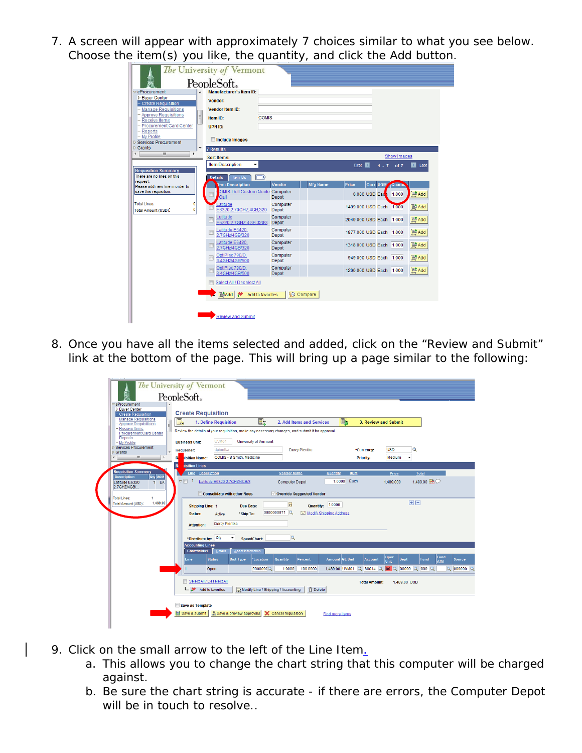7. A screen will appear with approximately 7 choices similar to what you see below. Choose the item(s) you like, the quantity, and click the Add button.

|                                                           | The University of Vermont                       |                          |                 |                         |          |  |                    |             |
|-----------------------------------------------------------|-------------------------------------------------|--------------------------|-----------------|-------------------------|----------|--|--------------------|-------------|
| 黑                                                         | PeopleSoft.                                     |                          |                 |                         |          |  |                    |             |
| $\triangledown$ eProcurement                              | <b>Manufacturer's Item ID:</b>                  |                          |                 |                         |          |  |                    |             |
| <b>D</b> Buyer Center                                     | Vendor:                                         |                          |                 |                         |          |  |                    |             |
| - Create Requisition                                      |                                                 |                          |                 |                         |          |  |                    |             |
| <b>Manage Requisitions</b><br><b>Approve Requisitions</b> | <b>Vendor Item ID:</b>                          |                          |                 |                         |          |  |                    |             |
| Ε<br><b>Receive Items</b>                                 | <b>COMIS</b><br>Item ID:                        |                          |                 |                         |          |  |                    |             |
| - Procurement Card Center                                 | UPN ID:                                         |                          |                 |                         |          |  |                    |             |
| Reports<br>- My Profile                                   |                                                 |                          |                 |                         |          |  |                    |             |
| ▷ Services Procurement                                    | Include Images                                  |                          |                 |                         |          |  |                    |             |
| $\triangleright$ Grants<br>٠                              | <b>7 Results</b>                                |                          |                 |                         |          |  |                    |             |
| m                                                         | <b>Sort Items:</b>                              |                          |                 |                         |          |  | <b>Show Images</b> |             |
|                                                           | <b>Item Description</b><br>۰                    |                          |                 | First <b>K</b>          |          |  | $1 - 7$ of $7$     | Ы<br>Last   |
| <b>Requisition Summary</b>                                |                                                 |                          |                 |                         |          |  |                    |             |
| There are no lines on this<br>request.                    | $\sqrt{2}$<br><b>Details</b><br><b>Item IDs</b> |                          |                 |                         |          |  |                    |             |
| Please add new line in order to                           | tem Description                                 | Vendor                   | <b>Mfg Name</b> | Price                   | Curr UOM |  | duam.              |             |
| save this requisition.                                    | OMIS-Dell Custom Quote Computer<br>Г<br>Call    | Depot                    |                 | $0.000$ USD Each        |          |  | 1.000              | Add         |
| <b>Total Lines:</b><br>0                                  | atitude                                         | Computer                 |                 | 1489.000 USD Each       |          |  | 1.000              | P Add       |
| $\mathbf 0$<br>Total Amount (USD).                        | E6320,2.70GHZ,4GB,320                           | Depot                    |                 |                         |          |  |                    |             |
|                                                           | Latitude<br>E6320,2.7GHZ,4GB,320G               | Computer<br>Depot        |                 | 2049.000 USD Each       |          |  | 1.000              | Add         |
|                                                           | Latitude E6420,<br>2.7GHz/4GB/320               | Computer<br>Depot        |                 | 1877.000 USD Each       |          |  | 1.000              | Add         |
|                                                           | Latitude E6420,<br>2.7GHz/4GB/320               | Computer<br>Depot        |                 | 1318.000 USD Each       |          |  | 1.000              | Add         |
|                                                           | OptiPlex 790/D,                                 | Computer                 |                 |                         |          |  |                    |             |
|                                                           | Г<br>3.4GHz/4GB/500                             | Depot                    |                 | 949.000 USD Each        |          |  | 1.000              | <b>MAdd</b> |
|                                                           | OptiPlex 790/D,<br>3.4GHz/4GB/500               | Computer<br><b>Depot</b> |                 | 1260,000 USD Each 1,000 |          |  |                    | Add         |
|                                                           | Select All / Deselect All                       |                          |                 |                         |          |  |                    |             |
|                                                           | <b>LAdd</b><br>Add to favorites                 | Compare                  |                 |                         |          |  |                    |             |
|                                                           |                                                 |                          |                 |                         |          |  |                    |             |
|                                                           |                                                 |                          |                 |                         |          |  |                    |             |
|                                                           | <b>Review and Submit</b>                        |                          |                 |                         |          |  |                    |             |
|                                                           |                                                 |                          |                 |                         |          |  |                    |             |

8. Once you have all the items selected and added, click on the "Review and Submit" link at the bottom of the page. This will bring up a page similar to the following:

|                                                    | The University of Vermont                                                                                                                                                                               |
|----------------------------------------------------|---------------------------------------------------------------------------------------------------------------------------------------------------------------------------------------------------------|
| 剽                                                  | PeopleSoft.                                                                                                                                                                                             |
| eProcurement<br><b>D</b> Buver Center              |                                                                                                                                                                                                         |
| - Create Requisition<br><b>Manage Requisitions</b> | <b>Create Requisition</b>                                                                                                                                                                               |
| J<br><b>Approve Requisitions</b><br>Receive Items  | $\Box\!$<br>e.<br>e.<br>1. Define Requisition<br>2. Add Items and Services<br>3. Review and Submit                                                                                                      |
| Procurement Card Center<br>Reports                 | Review the details of your requisition, make any necessary changes, and submit it for approval.                                                                                                         |
| - My Profile                                       | UVM01<br><b>University of Vermont</b><br><b>Business Unit:</b>                                                                                                                                          |
| <b>Services Procurement</b><br>Grants              | <b>USD</b><br>Q<br>dpientka<br>Darcy Pientka<br>*Currency:<br>Requester:                                                                                                                                |
| m.                                                 | COMIS - S Smith, Medicine<br>Medium<br>R<br>Priority:<br>۰<br>isition Name:                                                                                                                             |
| <b>Requisition Summary</b>                         | $\mathbf R$<br><b>iisition Lines</b>                                                                                                                                                                    |
| Qty UOM<br><b>Description</b>                      | Line Description<br><b>Vendor Name</b><br><b>UOM</b><br><b>Quantity</b><br>Price<br>Total<br>Each<br>1.489.00 2<br>$\nabla$<br>$\mathbf{1}$<br>Latitude E6320 2.7GHZ/4GB/3<br>1.0000                    |
| Latitude E6320<br>1<br>EA<br>2.7GHZ/4GB/           | <b>Computer Depot</b><br>1.489.000                                                                                                                                                                      |
| <b>Total Lines:</b><br>4                           | Override Suggested Vendor<br>Consolidate with other Regs                                                                                                                                                |
| 1,489.00<br><b>Total Amount (USD):</b>             | 田田<br>$\mathbf{b}$<br>1.0000<br><b>Quantity:</b><br><b>Shipping Line: 1</b><br><b>Due Date:</b>                                                                                                         |
|                                                    | 0000000071<br>Modify Shipping Address<br>*Ship To:<br><b>Status:</b><br>Active                                                                                                                          |
|                                                    | Darcy Pientka<br><b>Attention:</b>                                                                                                                                                                      |
|                                                    |                                                                                                                                                                                                         |
|                                                    | Q<br>*Distribute by: Qty<br>۰<br><b>SpeedChart:</b>                                                                                                                                                     |
|                                                    | <b>Accounting Lines</b><br><b>Chartfields1</b><br>Details<br>Asset Information                                                                                                                          |
|                                                    | Oper<br><b>Fund</b><br><b>Status</b><br><b>Dist Type</b><br>*Location<br><b>Quantity</b><br>Percent<br><b>Amount GL Unit</b><br>Line<br><b>Account</b><br>Dept<br><b>Fund</b><br>Source<br><b>Affil</b> |
|                                                    | Unit<br>1.489.00 UVM01 Q 80014 Q 00 Q 00000 Q 000 Q<br>$Q$ 000000 $Q$<br>Open<br>0000000<br>1.0000<br>100,0000                                                                                          |
|                                                    |                                                                                                                                                                                                         |
|                                                    | Select All / Deselect All<br><b>Total Amount:</b><br>1.489.00 USD                                                                                                                                       |
|                                                    | Modify Line / Shipping / Accounting<br><b>m</b> Delete<br>$\Box$ $\Box$ Add to favorites                                                                                                                |
|                                                    | Save as Template                                                                                                                                                                                        |
|                                                    | A Save & preview approvals X Cancel requisition<br>Save & submit<br><b>Find more items</b>                                                                                                              |
|                                                    |                                                                                                                                                                                                         |
|                                                    |                                                                                                                                                                                                         |

- 9. Click on the small arrow to the left of the Line Item.
	- a. This allows you to change the chart string that this computer will be charged against.
	- b. Be sure the chart string is accurate if there are errors, the Computer Depot will be in touch to resolve..